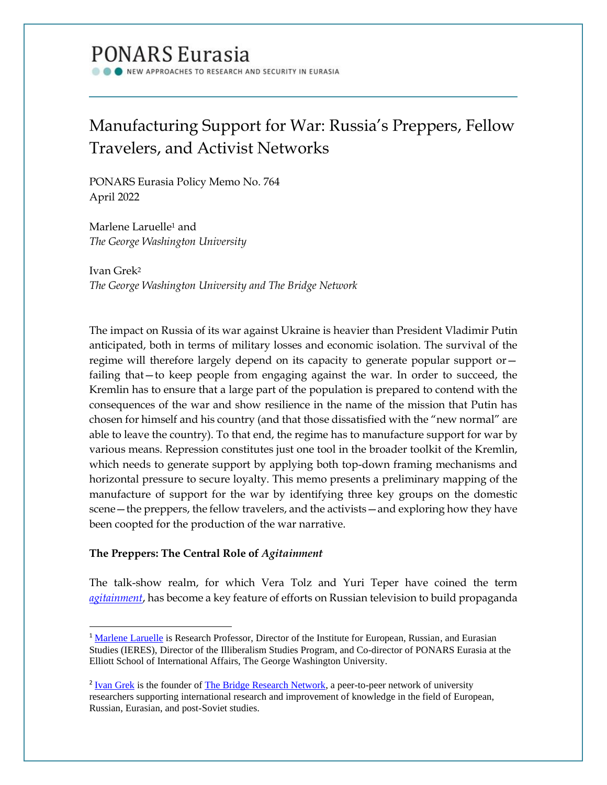# **PONARS Eurasia**

VEW APPROACHES TO RESEARCH AND SECURITY IN EURASIA

# Manufacturing Support for War: Russia's Preppers, Fellow Travelers, and Activist Networks

PONARS Eurasia Policy Memo No. 764 April 2022

Marlene Laruelle<sup>1</sup> and *The George Washington University*

Ivan Grek<sup>2</sup> *The George Washington University and The Bridge Network*

The impact on Russia of its war against Ukraine is heavier than President Vladimir Putin anticipated, both in terms of military losses and economic isolation. The survival of the regime will therefore largely depend on its capacity to generate popular support or failing that—to keep people from engaging against the war. In order to succeed, the Kremlin has to ensure that a large part of the population is prepared to contend with the consequences of the war and show resilience in the name of the mission that Putin has chosen for himself and his country (and that those dissatisfied with the "new normal" are able to leave the country). To that end, the regime has to manufacture support for war by various means. Repression constitutes just one tool in the broader toolkit of the Kremlin, which needs to generate support by applying both top-down framing mechanisms and horizontal pressure to secure loyalty. This memo presents a preliminary mapping of the manufacture of support for the war by identifying three key groups on the domestic scene—the preppers, the fellow travelers, and the activists—and exploring how they have been coopted for the production of the war narrative.

## **The Preppers: The Central Role of** *Agitainment*

The talk-show realm, for which Vera Tolz and Yuri Teper have coined the term *[agitainment](https://www.tandfonline.com/doi/abs/10.1080/1060586X.2018.1459023?journalCode=rpsa20)*, has become a key feature of efforts on Russian television to build propaganda

<sup>&</sup>lt;sup>1</sup> [Marlene Laruelle](https://www.ponarseurasia.org/members/marlene-laruelle/) is Research Professor, Director of the Institute for European, Russian, and Eurasian Studies (IERES), Director of the Illiberalism Studies Program, and Co-director of PONARS Eurasia at the Elliott School of International Affairs, The George Washington University.

<sup>&</sup>lt;sup>2</sup> [Ivan Grek](https://www.linkedin.com/in/ivan-grek-a78274127) is the founder o[f The Bridge Research Network,](https://thebridge.network/) a peer-to-peer network of university researchers supporting international research and improvement of knowledge in the field of European, Russian, Eurasian, and post-Soviet studies.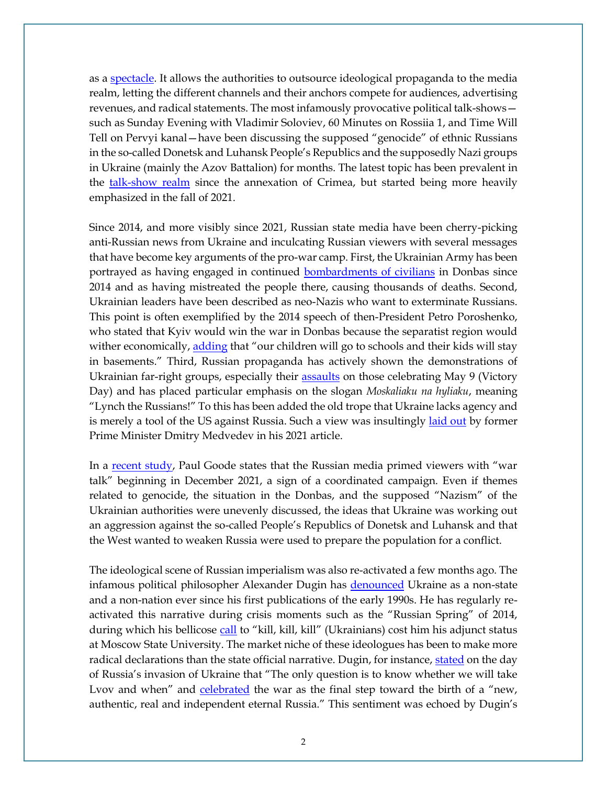as a [spectacle.](https://journals.sagepub.com/doi/abs/10.1177/0163443720974230?journalCode=mcsa) It allows the authorities to outsource ideological propaganda to the media realm, letting the different channels and their anchors compete for audiences, advertising revenues, and radical statements. The most infamously provocative political talk-shows such as Sunday Evening with Vladimir Soloviev, 60 Minutes on Rossiia 1, and Time Will Tell on Pervyi kanal—have been discussing the supposed "genocide" of ethnic Russians in the so-called Donetsk and Luhansk People's Republics and the supposedly Nazi groups in Ukraine (mainly the Azov Battalion) for months. The latest topic has been prevalent in the [talk-show realm](http://ceur-ws.org/Vol-2795/short1.pdf) since the annexation of Crimea, but started being more heavily emphasized in the fall of 2021.

Since 2014, and more visibly since 2021, Russian state media have been cherry-picking anti-Russian news from Ukraine and inculcating Russian viewers with several messages that have become key arguments of the pro-war camp. First, the Ukrainian Army has been portrayed as having engaged in continued **bombardments of civilians** in Donbas since 2014 and as having mistreated the people there, causing thousands of deaths. Second, Ukrainian leaders have been described as neo-Nazis who want to exterminate Russians. This point is often exemplified by the 2014 speech of then-President Petro Poroshenko, who stated that Kyiv would win the war in Donbas because the separatist region would wither economically, [adding](https://www.youtube.com/watch?v=zmhar0J27Hw) that "our children will go to schools and their kids will stay in basements." Third, Russian propaganda has actively shown the demonstrations of Ukrainian far-right groups, especially their [assaults](https://www.youtube.com/watch?v=N0Cs7gZPsZQ) on those celebrating May 9 (Victory Day) and has placed particular emphasis on the slogan *Moskaliaku na hyliaku*, meaning "Lynch the Russians!" To this has been added the old trope that Ukraine lacks agency and is merely a tool of the US against Russia. Such a view was insultingly [laid out](https://www.kommersant.ru/doc/5028300) by former Prime Minister Dmitry Medvedev in his 2021 article.

In a [recent study](https://www.ponarseurasia.org/how-russian-television-prepared-the-public-for-war/), Paul Goode states that the Russian media primed viewers with "war talk" beginning in December 2021, a sign of a coordinated campaign. Even if themes related to genocide, the situation in the Donbas, and the supposed "Nazism" of the Ukrainian authorities were unevenly discussed, the ideas that Ukraine was working out an aggression against the so-called People's Republics of Donetsk and Luhansk and that the West wanted to weaken Russia were used to prepare the population for a conflict.

The ideological scene of Russian imperialism was also re-activated a few months ago. The infamous political philosopher Alexander Dugin has [denounced](https://demokratizatsiya.pub/archives/Geopolitics.pdf) Ukraine as a non-state and a non-nation ever since his first publications of the early 1990s. He has regularly reactivated this narrative during crisis moments such as the "Russian Spring" of 2014, during which his bellicose [call](https://www.routledge.com/Russian-Nationalism-Imaginaries-Doctrines-and-Political-Battlefields/Laruelle/p/book/9780367584818) to "kill, kill, kill" (Ukrainians) cost him his adjunct status at Moscow State University. The market niche of these ideologues has been to make more radical declarations than the state official narrative. Dugin, for instance, [stated](https://m.infox.ru/news/301/269935-voprosov-po-donbassu-uze-net-dugin-o-rossijskoj-specoperacii) on the day of Russia's invasion of Ukraine that "The only question is to know whether we will take Lvov and when" and [celebrated](https://www.google.com/url?sa=D&q=https://rueconomics.ru/566050-dugin-zayavil-o-novoi-geopoliticheskoi-realnosti-na-fone-operacii-vs-rf-na-ukraine&ust=1648917600000000&usg=AOvVaw3VcC7if33uWkgJbdBuKXDZ&hl=en&source=gmail) the war as the final step toward the birth of a "new, authentic, real and independent eternal Russia." This sentiment was echoed by Dugin's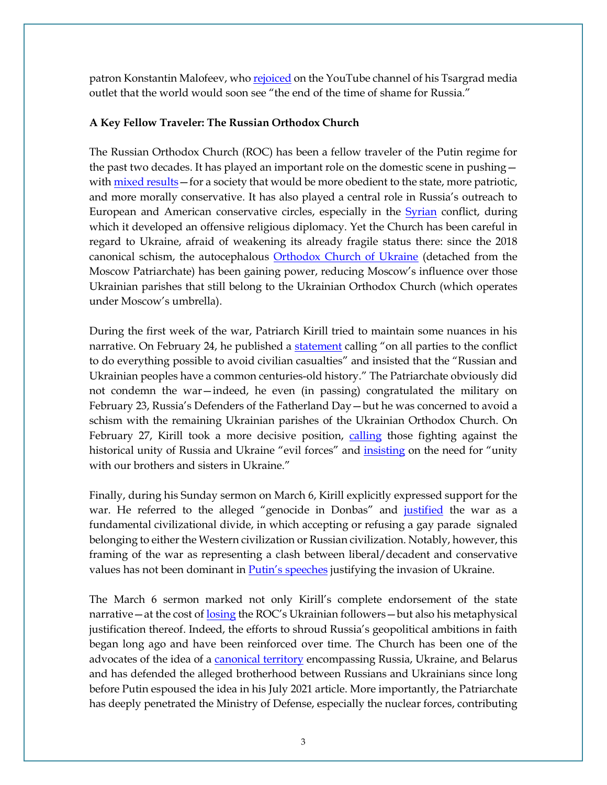patron Konstantin Malofeev, wh[o rejoiced](https://www.youtube.com/watch?v=OEV7l6w5P0U) on the YouTube channel of his Tsargrad media outlet that the world would soon see "the end of the time of shame for Russia."

### **A Key Fellow Traveler: The Russian Orthodox Church**

The Russian Orthodox Church (ROC) has been a fellow traveler of the Putin regime for the past two decades. It has played an important role on the domestic scene in pushing wit[h mixed results](https://www.ponarseurasia.org/not-so-traditional-after-all-the-russian-orthodox-churchs-failure-as-a-moral-norm-entrepreneur/)—for a society that would be more obedient to the state, more patriotic, and more morally conservative. It has also played a central role in Russia's outreach to European and American conservative circles, especially in the [Syrian](https://www.tandfonline.com/doi/abs/10.1080/00396338.2019.1688564?journalCode=tsur20) conflict, during which it developed an offensive religious diplomacy. Yet the Church has been careful in regard to Ukraine, afraid of weakening its already fragile status there: since the 2018 canonical schism, the autocephalous [Orthodox Church of Ukraine](https://www.tandfonline.com/doi/abs/10.1080/00085006.2020.1834706?journalCode=rcsp20) (detached from the Moscow Patriarchate) has been gaining power, reducing Moscow's influence over those Ukrainian parishes that still belong to the Ukrainian Orthodox Church (which operates under Moscow's umbrella).

During the first week of the war, Patriarch Kirill tried to maintain some nuances in his narrative. On February 24, he published a [statement](https://anglican.ink/2022/02/24/statement-by-patriarch-kirill-on-the-war-in-ukraine/) calling "on all parties to the conflict to do everything possible to avoid civilian casualties" and insisted that the "Russian and Ukrainian peoples have a common centuries-old history." The Patriarchate obviously did not condemn the war—indeed, he even (in passing) congratulated the military on February 23, Russia's Defenders of the Fatherland Day—but he was concerned to avoid a schism with the remaining Ukrainian parishes of the Ukrainian Orthodox Church. On February 27, Kirill took a more decisive position, [calling](https://international.la-croix.com/news/religion/kirill-the-extremely-political-russian-orthodox-patriarch/15716) those fighting against the historical unity of Russia and Ukraine "evil forces" and *[insisting](https://mospat.ru/en/news/89032/)* on the need for "unity with our brothers and sisters in Ukraine."

Finally, during his Sunday sermon on March 6, Kirill explicitly expressed support for the war. He referred to the alleged "genocide in Donbas" and [justified](https://www.ng.ru/faith/2022-03-06/100_v06032022.html) the war as a fundamental civilizational divide, in which accepting or refusing a gay parade signaled belonging to either the Western civilization or Russian civilization. Notably, however, this framing of the war as representing a clash between liberal/decadent and conservative values has not been dominant in [Putin's speeches](https://russiamatters.org/analysis/decoding-putins-speeches-three-ideological-lines-russias-military-intervention-ukraine) justifying the invasion of Ukraine.

The March 6 sermon marked not only Kirill's complete endorsement of the state narrative—at the cost of [losing](https://meduza.io/feature/2022/03/23/v-mirovom-pravoslavii-gryadut-tektonicheskie-sdvigi?fbclid=IwAR1THBSoXMr4uilFRHOdGKW5mVps609b9a5njqQOjpDQ5hsHecnBX_v44RU) the ROC's Ukrainian followers—but also his metaphysical justification thereof. Indeed, the efforts to shroud Russia's geopolitical ambitions in faith began long ago and have been reinforced over time. The Church has been one of the advocates of the idea of a [canonical territory](https://doaj.org/article/c6ec1e72671749dba22610e19d322c51) encompassing Russia, Ukraine, and Belarus and has defended the alleged brotherhood between Russians and Ukrainians since long before Putin espoused the idea in his July 2021 article. More importantly, the Patriarchate has deeply penetrated the Ministry of Defense, especially the nuclear forces, contributing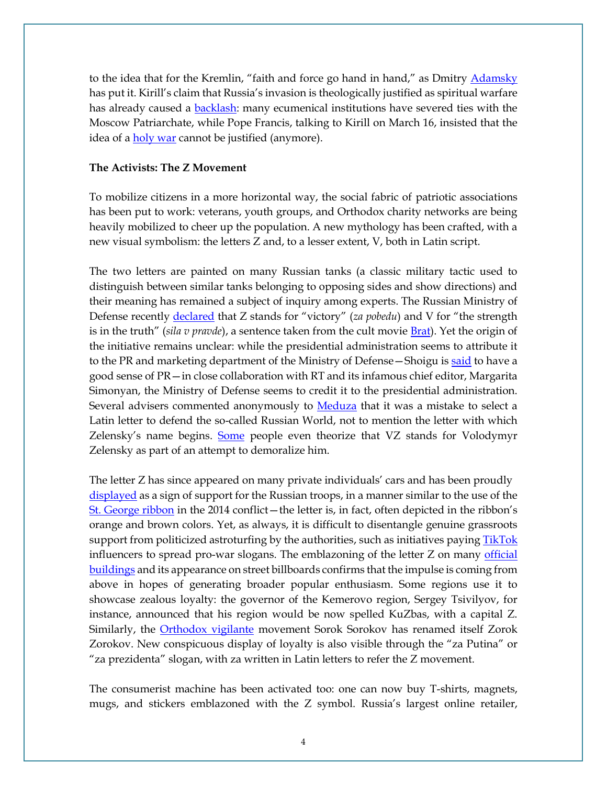to the idea that for the Kremlin, "faith and force go hand in hand," as Dmitry [Adamsky](https://www.foreignaffairs.com/articles/russian-federation/2022-03-05/russias-menacing-mix-religion-and-nuclear-weapons) has put it. Kirill's claim that Russia's invasion is theologically justified as spiritual warfare has already caused a **backlash**: many ecumenical institutions have severed ties with the Moscow Patriarchate, while Pope Francis, talking to Kirill on March 16, insisted that the idea of a [holy war](https://www.ncronline.org/news/vatican/pope-francis-video-conference-russian-patriarch-kirill-rejects-religious-defense) cannot be justified (anymore).

#### **The Activists: The Z Movement**

To mobilize citizens in a more horizontal way, the social fabric of patriotic associations has been put to work: veterans, youth groups, and Orthodox charity networks are being heavily mobilized to cheer up the population. A new mythology has been crafted, with a new visual symbolism: the letters Z and, to a lesser extent, V, both in Latin script.

The two letters are painted on many Russian tanks (a classic military tactic used to distinguish between similar tanks belonging to opposing sides and show directions) and their meaning has remained a subject of inquiry among experts. The Russian Ministry of Defense recently [declared](https://www.ntv.ru/novosti/2687936/) that Z stands for "victory" (*za pobedu*) and V for "the strength is in the truth" (*sila v pravde*), a sentence taken from the cult movie [Brat\)](https://www.rbth.com/arts/333240-balabanov-brat-franchise). Yet the origin of the initiative remains unclear: while the presidential administration seems to attribute it to the PR and marketing department of the Ministry of Defense—Shoigu is [said](https://ridl.io/en/what-does-the-russian-war-z-stand-for/) to have a good sense of PR—in close collaboration with RT and its infamous chief editor, Margarita Simonyan, the Ministry of Defense seems to credit it to the presidential administration. Several advisers commented anonymously to **Meduza** that it was a mistake to select a Latin letter to defend the so-called Russian World, not to mention the letter with which Zelensky's name begins. [Some](https://www.youtube.com/watch?v=HEn_52Cc6vE) people even theorize that VZ stands for Volodymyr Zelensky as part of an attempt to demoralize him.

The letter Z has since appeared on many private individuals' cars and has been proudly [displayed](https://atas.info/news/society/01-03-2022/lyudi-ustroili-fleshmob-chto-oznachaet-bukva-z-na-rossiyskoy-voennoy-tehnike) as a sign of support for the Russian troops, in a manner similar to the use of the [St. George ribbon](https://www.jstor.org/stable/10.5699/slaveasteurorev2.94.4.0660) in the 2014 conflict—the letter is, in fact, often depicted in the ribbon's orange and brown colors. Yet, as always, it is difficult to disentangle genuine grassroots support from politicized astroturfing by the authorities, such as initiatives paying [TikTok](https://www.vice.com/en/article/epxken/russian-tiktok-influencers-paid-propaganda) influencers to spread pro-war slogans. The emblazoning of the letter Z on many official [buildings](https://twitter.com/kamilkazani/status/1500495309595725831) and its appearance on street billboards confirms that the impulse is coming from above in hopes of generating broader popular enthusiasm. Some regions use it to showcase zealous loyalty: the governor of the Kemerovo region, Sergey Tsivilyov, for instance, announced that his region would be now spelled KuZbas, with a capital Z. Similarly, the [Orthodox vigilante](https://www.ifri.org/en/publications/notes-de-lifri/russieneivisions/russias-militia-groups-and-their-use-home-and-abroad) movement Sorok Sorokov has renamed itself Zorok Zorokov. New conspicuous display of loyalty is also visible through the "za Putina" or "za prezidenta" slogan, with za written in Latin letters to refer the Z movement.

The consumerist machine has been activated too: one can now buy T-shirts, magnets, mugs, and stickers emblazoned with the Z symbol. Russia's largest online retailer,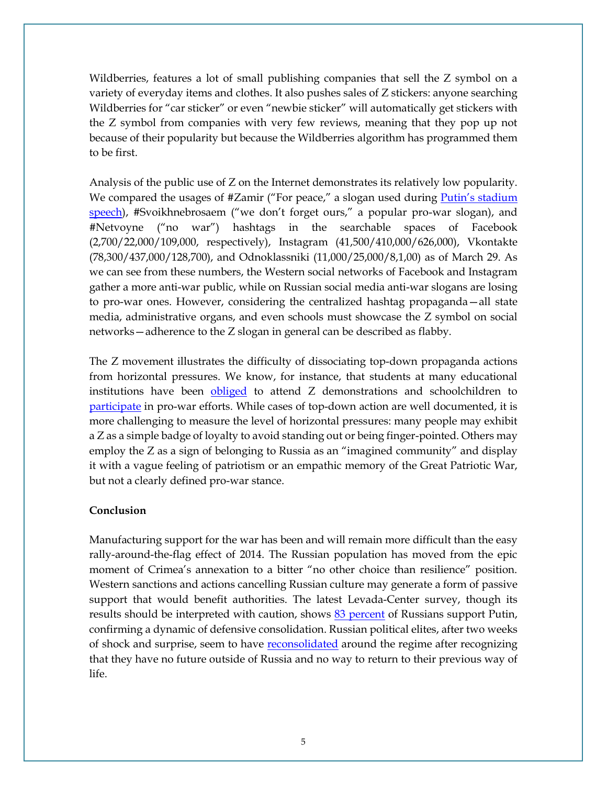Wildberries, features a lot of small publishing companies that sell the Z symbol on a variety of everyday items and clothes. It also pushes sales of Z stickers: anyone searching Wildberries for "car sticker" or even "newbie sticker" will automatically get stickers with the Z symbol from companies with very few reviews, meaning that they pop up not because of their popularity but because the Wildberries algorithm has programmed them to be first.

Analysis of the public use of Z on the Internet demonstrates its relatively low popularity. We compared the usages of #Zamir ("For peace," a slogan used during Putin's stadium [speech\)](https://www.youtube.com/watch?v=jna8JEaPMZE), #Svoikhnebrosaem ("we don't forget ours," a popular pro-war slogan), and #Netvoyne ("no war") hashtags in the searchable spaces of Facebook (2,700/22,000/109,000, respectively), Instagram (41,500/410,000/626,000), Vkontakte (78,300/437,000/128,700), and Odnoklassniki (11,000/25,000/8,1,00) as of March 29. As we can see from these numbers, the Western social networks of Facebook and Instagram gather a more anti-war public, while on Russian social media anti-war slogans are losing to pro-war ones. However, considering the centralized hashtag propaganda—all state media, administrative organs, and even schools must showcase the Z symbol on social networks—adherence to the Z slogan in general can be described as flabby.

The Z movement illustrates the difficulty of dissociating top-down propaganda actions from horizontal pressures. We know, for instance, that students at many educational institutions have been [obliged](https://twitter.com/the_ins_ru/status/1501662440660115457?s=21) to attend Z demonstrations and schoolchildren to [participate](https://paperpaper.ru/deti-delayut-tanki-iz-kartona-vospitat/) in pro-war efforts. While cases of top-down action are well documented, it is more challenging to measure the level of horizontal pressures: many people may exhibit a Z as a simple badge of loyalty to avoid standing out or being finger-pointed. Others may employ the Z as a sign of belonging to Russia as an "imagined community" and display it with a vague feeling of patriotism or an empathic memory of the Great Patriotic War, but not a clearly defined pro-war stance.

#### **Conclusion**

Manufacturing support for the war has been and will remain more difficult than the easy rally-around-the-flag effect of 2014. The Russian population has moved from the epic moment of Crimea's annexation to a bitter "no other choice than resilience" position. Western sanctions and actions cancelling Russian culture may generate a form of passive support that would benefit authorities. The latest Levada-Center survey, though its results should be interpreted with caution, shows [83 percent](https://www.nytimes.com/2022/03/31/world/europe/putin-approval-rating-russia.html) of Russians support Putin, confirming a dynamic of defensive consolidation. Russian political elites, after two weeks of shock and surprise, seem to have [reconsolidated](https://faridaily.substack.com/p/--3c3?s=w&fbclid=IwAR27Z8BzPGQIaDF7H6g4hFTvyCfpxus8wMadYzKtu39-rxyVZkT6OAfTo_c) around the regime after recognizing that they have no future outside of Russia and no way to return to their previous way of life.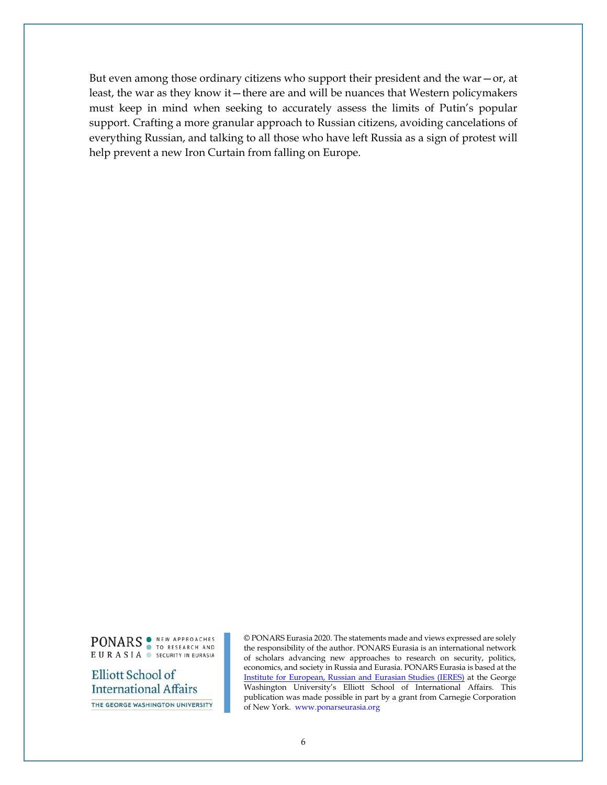But even among those ordinary citizens who support their president and the war—or, at least, the war as they know it—there are and will be nuances that Western policymakers must keep in mind when seeking to accurately assess the limits of Putin's popular support. Crafting a more granular approach to Russian citizens, avoiding cancelations of everything Russian, and talking to all those who have left Russia as a sign of protest will help prevent a new Iron Curtain from falling on Europe.

PONARS TO RESEARCH AND EURASIA SECURITY IN EURASIA

Elliott School of **International Affairs** THE GEORGE WASHINGTON UNIVERSITY

© PONARS Eurasia 2020. The statements made and views expressed are solely the responsibility of the author. PONARS Eurasia is an international network of scholars advancing new approaches to research on security, politics, economics, and society in Russia and Eurasia. PONARS Eurasia is based at the [Institute for European, Russian and Eurasian Studies \(IERES\)](https://ieres.elliott.gwu.edu/) at the George Washington University's Elliott School of International Affairs. This publication was made possible in part by a grant from Carnegie Corporation of New York. [www.ponarseurasia.org](http://www.ponarseurasia.org/)